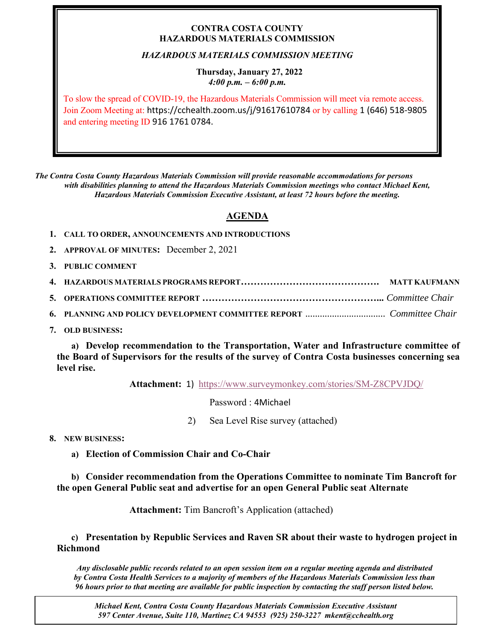## **CONTRA COSTA COUNTY HAZARDOUS MATERIALS COMMISSION**

## *HAZARDOUS MATERIALS COMMISSION MEETING*

### **Thursday, January 27, 2022** *4:00 p.m. – 6:00 p.m.*

To slow the spread of COVID-19, the Hazardous Materials Commission will meet via remote access. Join Zoom Meeting at: https://cchealth.zoom.us/j/91617610784 or by calling 1 (646) 518-9805 and entering meeting ID 916 1761 0784.

*The Contra Costa County Hazardous Materials Commission will provide reasonable accommodations for persons with disabilities planning to attend the Hazardous Materials Commission meetings who contact Michael Kent, Hazardous Materials Commission Executive Assistant, at least 72 hours before the meeting.*

# **AGENDA**

- **1. CALL TO ORDER, ANNOUNCEMENTS AND INTRODUCTIONS**
- **2. APPROVAL OF MINUTES:** December 2, 2021
- **3. PUBLIC COMMENT**

**7. OLD BUSINESS:**

**a) Develop recommendation to the Transportation, Water and Infrastructure committee of the Board of Supervisors for the results of the survey of Contra Costa businesses concerning sea level rise.** 

**Attachment:** 1) <https://www.surveymonkey.com/stories/SM-Z8CPVJDQ/>

Password : 4Michael

2) Sea Level Rise survey (attached)

**8. NEW BUSINESS:**

**a) Election of Commission Chair and Co-Chair**

## **b) Consider recommendation from the Operations Committee to nominate Tim Bancroft for the open General Public seat and advertise for an open General Public seat Alternate**

**Attachment:** Tim Bancroft's Application (attached)

**c) Presentation by Republic Services and Raven SR about their waste to hydrogen project in Richmond**

*Any disclosable public records related to an open session item on a regular meeting agenda and distributed by Contra Costa Health Services to a majority of members of the Hazardous Materials Commission less than 96 hours prior to that meeting are available for public inspection by contacting the staff person listed below.* 

*Michael Kent, Contra Costa County Hazardous Materials Commission Executive Assistant 597 Center Avenue, Suite 110, Martinez CA 94553 (925) 250-3227 mkent@cchealth.org*